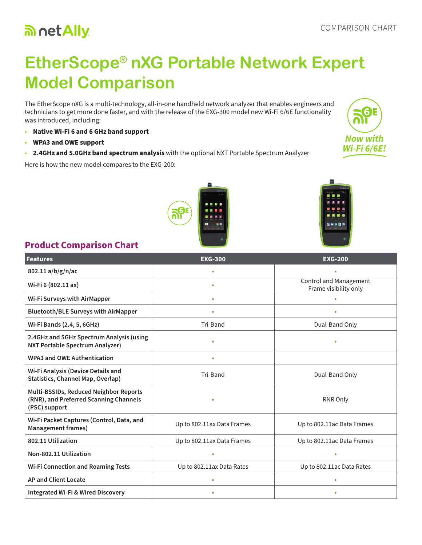# an net Ally

# **EtherScope® nXG Portable Network Expert Model Comparison**

The EtherScope nXG is a multi-technology, all-in-one handheld network analyzer that enables engineers and technicians to get more done faster, and with the release of the EXG-300 model new Wi-Fi 6/6E functionality was introduced, including:

- **Native Wi-Fi 6 and 6 GHz band support**
- **WPA3 and OWE support**
- **2.4GHz and 5.0GHz band spectrum analysis** with the optional NXT Portable Spectrum Analyzer

Here is how the new model compares to the EXG-200:





## **Product Comparison Chart**

| <b>Features</b>                                                                                   | <b>EXG-300</b>             | <b>EXG-200</b>                                  |
|---------------------------------------------------------------------------------------------------|----------------------------|-------------------------------------------------|
| 802.11 a/b/g/n/ac                                                                                 | $\bullet$                  | ö                                               |
| Wi-Fi 6 (802.11 ax)                                                                               | $\bullet$                  | Control and Management<br>Frame visibility only |
| Wi-Fi Surveys with AirMapper                                                                      | $\bullet$                  | $\bullet$                                       |
| <b>Bluetooth/BLE Surveys with AirMapper</b>                                                       | ٠                          | $\bullet$                                       |
| Wi-Fi Bands (2.4, 5, 6GHz)                                                                        | Tri-Band                   | Dual-Band Only                                  |
| 2.4GHz and 5GHz Spectrum Analysis (using<br><b>NXT Portable Spectrum Analyzer)</b>                | $\bullet$                  | $\bullet$                                       |
| <b>WPA3 and OWE Authentication</b>                                                                | $\bullet$                  |                                                 |
| Wi-Fi Analysis (Device Details and<br><b>Statistics, Channel Map, Overlap)</b>                    | Tri-Band                   | Dual-Band Only                                  |
| Multi-BSSIDs, Reduced Neighbor Reports<br>(RNR), and Preferred Scanning Channels<br>(PSC) support | ٠                          | RNR Only                                        |
| Wi-Fi Packet Captures (Control, Data, and<br><b>Management frames)</b>                            | Up to 802.11ax Data Frames | Up to 802.11ac Data Frames                      |
| 802.11 Utilization                                                                                | Up to 802.11ax Data Frames | Up to 802.11ac Data Frames                      |
| Non-802.11 Utilization                                                                            |                            | ٠                                               |
| <b>Wi-Fi Connection and Roaming Tests</b>                                                         | Up to 802.11ax Data Rates  | Up to 802.11ac Data Rates                       |
| <b>AP and Client Locate</b>                                                                       |                            | ٠                                               |
| <b>Integrated Wi-Fi &amp; Wired Discovery</b>                                                     |                            | ٠                                               |